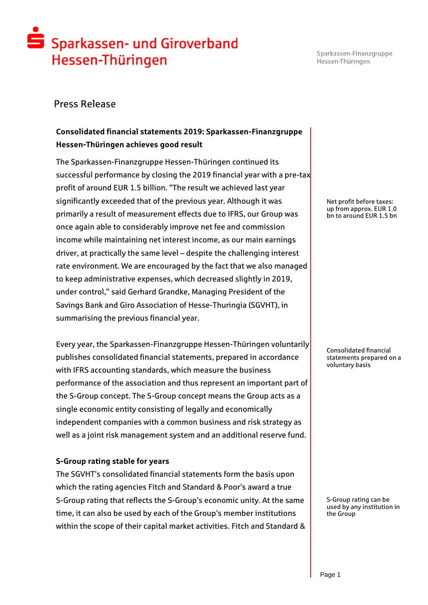# Sparkassen- und Giroverband Hessen-Thüringen

Sparkassen-Finanzgruppe Hessen-Thüringen

### Press Release

### **Consolidated financial statements 2019: Sparkassen-Finanzgruppe Hessen-Thüringen achieves good result**

The Sparkassen-Finanzgruppe Hessen-Thüringen continued its successful performance by closing the 2019 financial year with a pre-tax profit of around EUR 1.5 billion. "The result we achieved last year significantly exceeded that of the previous year. Although it was primarily a result of measurement effects due to IFRS, our Group was once again able to considerably improve net fee and commission income while maintaining net interest income, as our main earnings driver, at practically the same level – despite the challenging interest rate environment. We are encouraged by the fact that we also managed to keep administrative expenses, which decreased slightly in 2019, under control," said Gerhard Grandke, Managing President of the Savings Bank and Giro Association of Hesse-Thuringia (SGVHT), in summarising the previous financial year.

Every year, the Sparkassen-Finanzgruppe Hessen-Thüringen voluntarily publishes consolidated financial statements, prepared in accordance with IFRS accounting standards, which measure the business performance of the association and thus represent an important part of the S-Group concept. The S-Group concept means the Group acts as a single economic entity consisting of legally and economically independent companies with a common business and risk strategy as well as a joint risk management system and an additional reserve fund.

#### **S-Group rating stable for years**

The SGVHT's consolidated financial statements form the basis upon which the rating agencies Fitch and Standard & Poor's award a true S-Group rating that reflects the S-Group's economic unity. At the same time, it can also be used by each of the Group's member institutions within the scope of their capital market activities. Fitch and Standard & Net profit before taxes: up from approx. EUR 1.0 bn to around EUR 1.5 bn

Consolidated financial statements prepared on a voluntary basis

S-Group rating can be used by any institution in the Group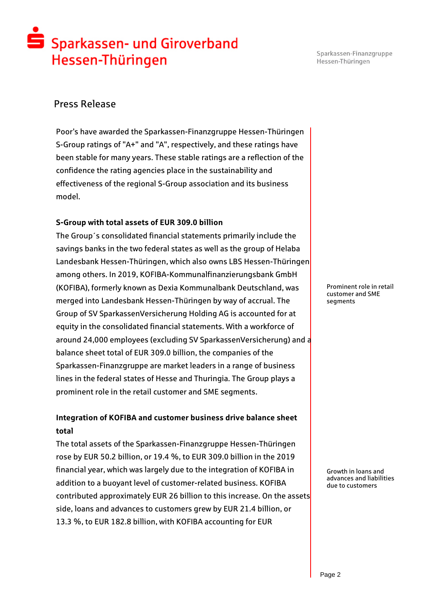# Sparkassen- und Giroverband Hessen-Thüringen

Sparkassen-Finanzgruppe Hessen-Thüringen

### Press Release

Poor's have awarded the Sparkassen-Finanzgruppe Hessen-Thüringen S-Group ratings of "A+" and "A", respectively, and these ratings have been stable for many years. These stable ratings are a reflection of the confidence the rating agencies place in the sustainability and effectiveness of the regional S-Group association and its business model.

#### **S-Group with total assets of EUR 309.0 billion**

The Group´s consolidated financial statements primarily include the savings banks in the two federal states as well as the group of Helaba Landesbank Hessen-Thüringen, which also owns LBS Hessen-Thüringen among others. In 2019, KOFIBA-Kommunalfinanzierungsbank GmbH (KOFIBA), formerly known as Dexia Kommunalbank Deutschland, was merged into Landesbank Hessen-Thüringen by way of accrual. The Group of SV SparkassenVersicherung Holding AG is accounted for at equity in the consolidated financial statements. With a workforce of around 24,000 employees (excluding SV SparkassenVersicherung) and a balance sheet total of EUR 309.0 billion, the companies of the Sparkassen-Finanzgruppe are market leaders in a range of business lines in the federal states of Hesse and Thuringia. The Group plays a prominent role in the retail customer and SME segments.

### **Integration of KOFIBA and customer business drive balance sheet total**

The total assets of the Sparkassen-Finanzgruppe Hessen-Thüringen rose by EUR 50.2 billion, or 19.4 %, to EUR 309.0 billion in the 2019 financial year, which was largely due to the integration of KOFIBA in addition to a buoyant level of customer-related business. KOFIBA contributed approximately EUR 26 billion to this increase. On the assets side, loans and advances to customers grew by EUR 21.4 billion, or 13.3 %, to EUR 182.8 billion, with KOFIBA accounting for EUR

Prominent role in retail customer and SME segments

Growth in loans and advances and liabilities due to customers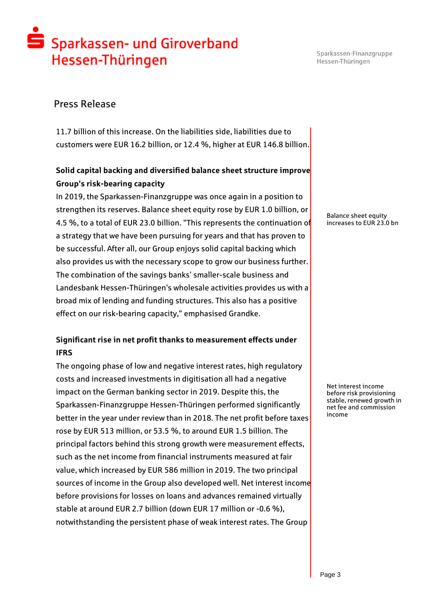## S Sparkassen- und Giroverband Hessen-Thüringen

Sparkassen-Finanzgruppe Hessen-Thüringen

### Press Release

11.7 billion of this increase. On the liabilities side, liabilities due to customers were EUR 16.2 billion, or 12.4 %, higher at EUR 146.8 billion.

### **Solid capital backing and diversified balance sheet structure improve Group's risk-bearing capacity**

In 2019, the Sparkassen-Finanzgruppe was once again in a position to strengthen its reserves. Balance sheet equity rose by EUR 1.0 billion, or 4.5 %, to a total of EUR 23.0 billion. "This represents the continuation of a strategy that we have been pursuing for years and that has proven to be successful. After all, our Group enjoys solid capital backing which also provides us with the necessary scope to grow our business further. The combination of the savings banks' smaller-scale business and Landesbank Hessen-Thüringen's wholesale activities provides us with a broad mix of lending and funding structures. This also has a positive effect on our risk-bearing capacity," emphasised Grandke.

### **Significant rise in net profit thanks to measurement effects under IFRS**

The ongoing phase of low and negative interest rates, high regulatory costs and increased investments in digitisation all had a negative impact on the German banking sector in 2019. Despite this, the Sparkassen-Finanzgruppe Hessen-Thüringen performed significantly better in the year under review than in 2018. The net profit before taxes rose by EUR 513 million, or 53.5 %, to around EUR 1.5 billion. The principal factors behind this strong growth were measurement effects, such as the net income from financial instruments measured at fair value, which increased by EUR 586 million in 2019. The two principal sources of income in the Group also developed well. Net interest income before provisions for losses on loans and advances remained virtually stable at around EUR 2.7 billion (down EUR 17 million or -0.6 %), notwithstanding the persistent phase of weak interest rates. The Group

Balance sheet equity increases to EUR 23.0 bn

Net interest income before risk provisioning stable, renewed growth in net fee and commission income